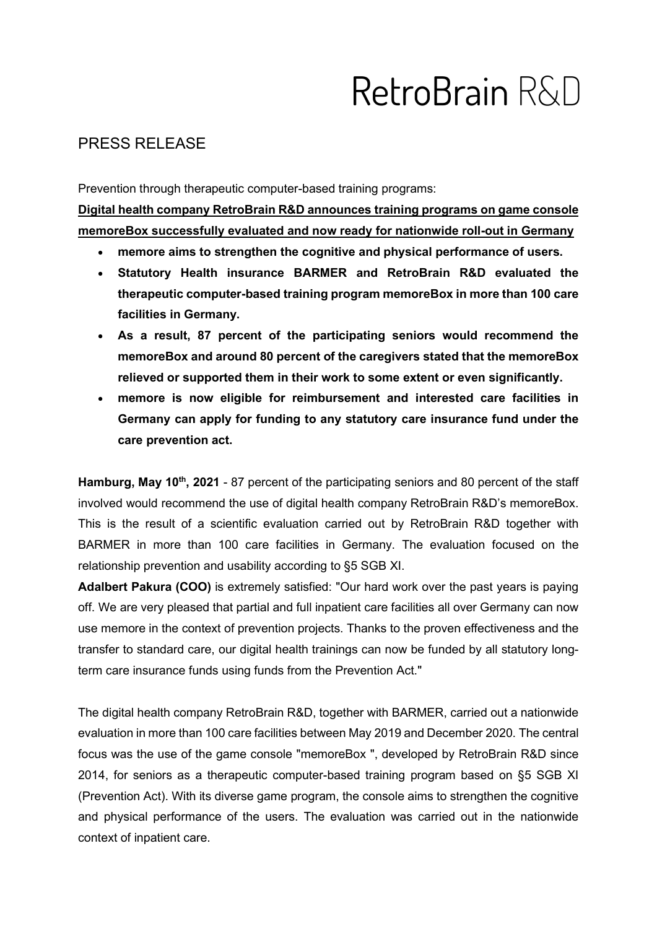# RetroBrain R&D

## PRESS RELEASE

Prevention through therapeutic computer-based training programs:

Digital health company RetroBrain R&D announces training programs on game console memoreBox successfully evaluated and now ready for nationwide roll-out in Germany

- memore aims to strengthen the cognitive and physical performance of users.
- Statutory Health insurance BARMER and RetroBrain R&D evaluated the therapeutic computer-based training program memoreBox in more than 100 care facilities in Germany.
- As a result, 87 percent of the participating seniors would recommend the memoreBox and around 80 percent of the caregivers stated that the memoreBox relieved or supported them in their work to some extent or even significantly.
- memore is now eligible for reimbursement and interested care facilities in Germany can apply for funding to any statutory care insurance fund under the care prevention act.

Hamburg, May 10<sup>th</sup>, 2021 - 87 percent of the participating seniors and 80 percent of the staff involved would recommend the use of digital health company RetroBrain R&D's memoreBox. This is the result of a scientific evaluation carried out by RetroBrain R&D together with BARMER in more than 100 care facilities in Germany. The evaluation focused on the relationship prevention and usability according to §5 SGB XI.

Adalbert Pakura (COO) is extremely satisfied: "Our hard work over the past years is paying off. We are very pleased that partial and full inpatient care facilities all over Germany can now use memore in the context of prevention projects. Thanks to the proven effectiveness and the transfer to standard care, our digital health trainings can now be funded by all statutory longterm care insurance funds using funds from the Prevention Act."

The digital health company RetroBrain R&D, together with BARMER, carried out a nationwide evaluation in more than 100 care facilities between May 2019 and December 2020. The central focus was the use of the game console "memoreBox ", developed by RetroBrain R&D since 2014, for seniors as a therapeutic computer-based training program based on §5 SGB XI (Prevention Act). With its diverse game program, the console aims to strengthen the cognitive and physical performance of the users. The evaluation was carried out in the nationwide context of inpatient care.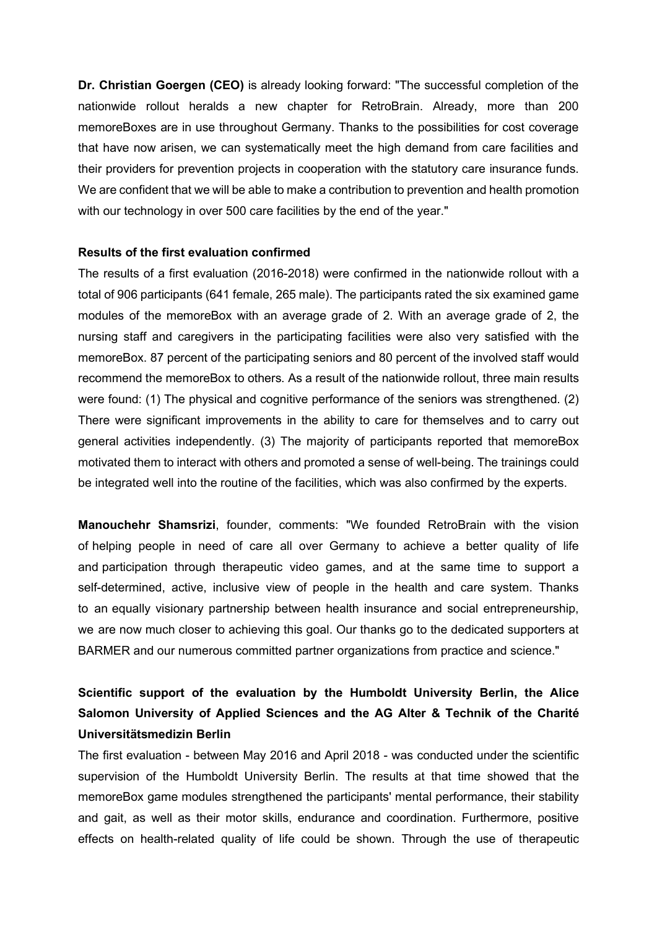Dr. Christian Goergen (CEO) is already looking forward: "The successful completion of the nationwide rollout heralds a new chapter for RetroBrain. Already, more than 200 memoreBoxes are in use throughout Germany. Thanks to the possibilities for cost coverage that have now arisen, we can systematically meet the high demand from care facilities and their providers for prevention projects in cooperation with the statutory care insurance funds. We are confident that we will be able to make a contribution to prevention and health promotion with our technology in over 500 care facilities by the end of the year."

### Results of the first evaluation confirmed

The results of a first evaluation (2016-2018) were confirmed in the nationwide rollout with a total of 906 participants (641 female, 265 male). The participants rated the six examined game modules of the memoreBox with an average grade of 2. With an average grade of 2, the nursing staff and caregivers in the participating facilities were also very satisfied with the memoreBox. 87 percent of the participating seniors and 80 percent of the involved staff would recommend the memoreBox to others. As a result of the nationwide rollout, three main results were found: (1) The physical and cognitive performance of the seniors was strengthened. (2) There were significant improvements in the ability to care for themselves and to carry out general activities independently. (3) The majority of participants reported that memoreBox motivated them to interact with others and promoted a sense of well-being. The trainings could be integrated well into the routine of the facilities, which was also confirmed by the experts.

Manouchehr Shamsrizi, founder, comments: "We founded RetroBrain with the vision of helping people in need of care all over Germany to achieve a better quality of life and participation through therapeutic video games, and at the same time to support a self-determined, active, inclusive view of people in the health and care system. Thanks to an equally visionary partnership between health insurance and social entrepreneurship, we are now much closer to achieving this goal. Our thanks go to the dedicated supporters at BARMER and our numerous committed partner organizations from practice and science."

# Scientific support of the evaluation by the Humboldt University Berlin, the Alice Salomon University of Applied Sciences and the AG Alter & Technik of the Charité Universitätsmedizin Berlin

The first evaluation - between May 2016 and April 2018 - was conducted under the scientific supervision of the Humboldt University Berlin. The results at that time showed that the memoreBox game modules strengthened the participants' mental performance, their stability and gait, as well as their motor skills, endurance and coordination. Furthermore, positive effects on health-related quality of life could be shown. Through the use of therapeutic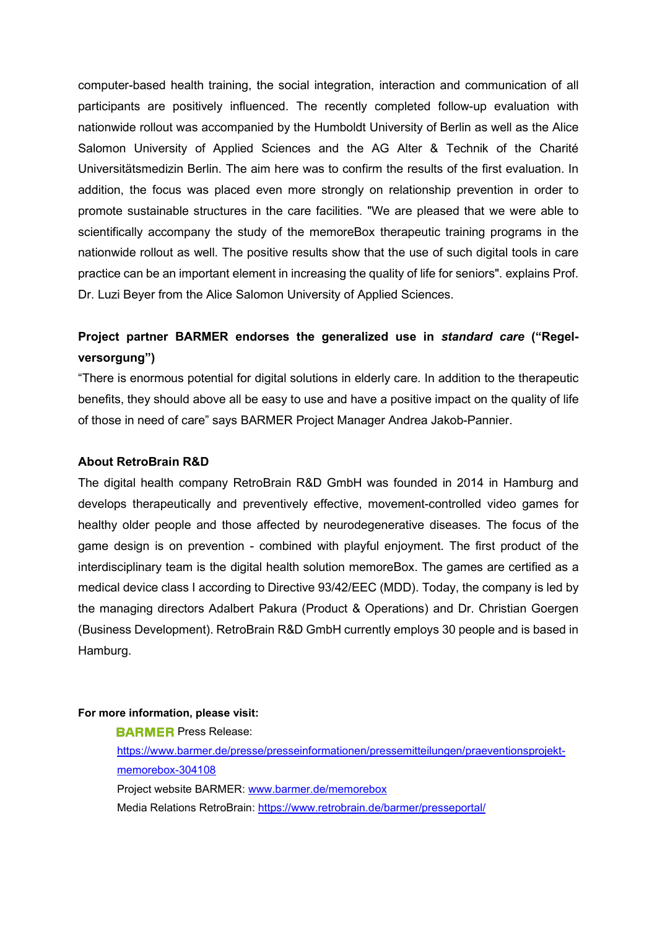computer-based health training, the social integration, interaction and communication of all participants are positively influenced. The recently completed follow-up evaluation with nationwide rollout was accompanied by the Humboldt University of Berlin as well as the Alice Salomon University of Applied Sciences and the AG Alter & Technik of the Charité Universitätsmedizin Berlin. The aim here was to confirm the results of the first evaluation. In addition, the focus was placed even more strongly on relationship prevention in order to promote sustainable structures in the care facilities. "We are pleased that we were able to scientifically accompany the study of the memoreBox therapeutic training programs in the nationwide rollout as well. The positive results show that the use of such digital tools in care practice can be an important element in increasing the quality of life for seniors". explains Prof. Dr. Luzi Beyer from the Alice Salomon University of Applied Sciences.

# Project partner BARMER endorses the generalized use in standard care ("Regelversorgung")

"There is enormous potential for digital solutions in elderly care. In addition to the therapeutic benefits, they should above all be easy to use and have a positive impact on the quality of life of those in need of care" says BARMER Project Manager Andrea Jakob-Pannier.

#### About RetroBrain R&D

The digital health company RetroBrain R&D GmbH was founded in 2014 in Hamburg and develops therapeutically and preventively effective, movement-controlled video games for healthy older people and those affected by neurodegenerative diseases. The focus of the game design is on prevention - combined with playful enjoyment. The first product of the interdisciplinary team is the digital health solution memoreBox. The games are certified as a medical device class I according to Directive 93/42/EEC (MDD). Today, the company is led by the managing directors Adalbert Pakura (Product & Operations) and Dr. Christian Goergen (Business Development). RetroBrain R&D GmbH currently employs 30 people and is based in Hamburg.

#### For more information, please visit:

**BARMER** Press Release:

https://www.barmer.de/presse/presseinformationen/pressemitteilungen/praeventionsprojektmemorebox-304108 Project website BARMER: www.barmer.de/memorebox Media Relations RetroBrain: https://www.retrobrain.de/barmer/presseportal/